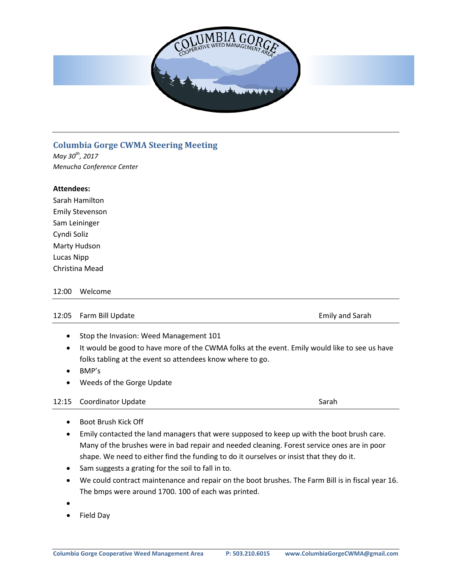

# **Columbia Gorge CWMA Steering Meeting**

*May 30th, 2017 Menucha Conference Center*

## **Attendees:**

| Sarah Hamilton         |  |  |
|------------------------|--|--|
| <b>Emily Stevenson</b> |  |  |
| Sam Leininger          |  |  |
| Cyndi Soliz            |  |  |
| Marty Hudson           |  |  |
| Lucas Nipp             |  |  |
| Christina Mead         |  |  |

### 12:00 Welcome

#### 12:05 Farm Bill Update **Emily and Sarah** Emily and Sarah

- Stop the Invasion: Weed Management 101
- It would be good to have more of the CWMA folks at the event. Emily would like to see us have folks tabling at the event so attendees know where to go.
- BMP's
- Weeds of the Gorge Update

### 12:15 Coordinator Update Sarah Sarah Sarah Sarah Sarah Sarah Sarah Sarah Sarah Sarah Sarah Sarah Sarah Sarah Sarah

- Boot Brush Kick Off
- Emily contacted the land managers that were supposed to keep up with the boot brush care. Many of the brushes were in bad repair and needed cleaning. Forest service ones are in poor shape. We need to either find the funding to do it ourselves or insist that they do it.
- Sam suggests a grating for the soil to fall in to.
- We could contract maintenance and repair on the boot brushes. The Farm Bill is in fiscal year 16. The bmps were around 1700. 100 of each was printed.
- •
- Field Day